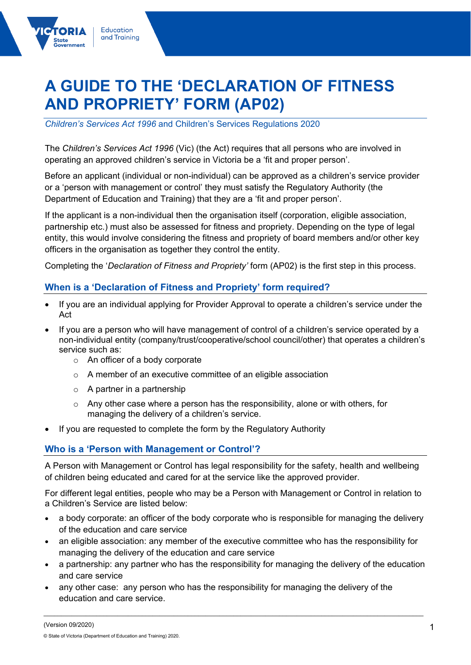# **A GUIDE TO THE 'DECLARATION OF FITNESS AND PROPRIETY' FORM (AP02)**

*Children's Services Act 1996* and Children's Services Regulations 2020

Education and Training

acc<br>wernment

The *Children's Services Act 1996* (Vic) (the Act) requires that all persons who are involved in operating an approved children's service in Victoria be a 'fit and proper person'.

Before an applicant (individual or non-individual) can be approved as a children's service provider or a 'person with management or control' they must satisfy the Regulatory Authority (the Department of Education and Training) that they are a 'fit and proper person'.

If the applicant is a non-individual then the organisation itself (corporation, eligible association, partnership etc.) must also be assessed for fitness and propriety. Depending on the type of legal entity, this would involve considering the fitness and propriety of board members and/or other key officers in the organisation as together they control the entity.

Completing the '*Declaration of Fitness and Propriety'* form (AP02) is the first step in this process.

## **When is a 'Declaration of Fitness and Propriety' form required?**

- If you are an individual applying for Provider Approval to operate a children's service under the Act
- If you are a person who will have management of control of a children's service operated by a non-individual entity (company/trust/cooperative/school council/other) that operates a children's service such as:
	- o An officer of a body corporate
	- o A member of an executive committee of an eligible association
	- $\circ$  A partner in a partnership
	- $\circ$  Any other case where a person has the responsibility, alone or with others, for managing the delivery of a children's service.
- If you are requested to complete the form by the Regulatory Authority

#### **Who is a 'Person with Management or Control'?**

A Person with Management or Control has legal responsibility for the safety, health and wellbeing of children being educated and cared for at the service like the approved provider.

For different legal entities, people who may be a Person with Management or Control in relation to a Children's Service are listed below:

- a body corporate: an officer of the body corporate who is responsible for managing the delivery of the education and care service
- an eligible association: any member of the executive committee who has the responsibility for managing the delivery of the education and care service
- a partnership: any partner who has the responsibility for managing the delivery of the education and care service

\_\_\_\_\_\_\_\_\_\_\_\_\_\_\_\_\_\_\_\_\_\_\_\_\_\_\_\_\_\_\_\_\_\_\_\_\_\_\_\_\_\_\_\_\_\_\_\_\_\_\_\_\_\_\_\_\_\_\_\_\_\_\_\_\_\_\_\_\_\_\_\_\_\_\_\_\_\_\_\_\_\_\_\_\_\_\_\_\_\_\_\_\_\_\_\_\_\_\_\_\_\_\_\_\_\_\_\_

• any other case: any person who has the responsibility for managing the delivery of the education and care service.